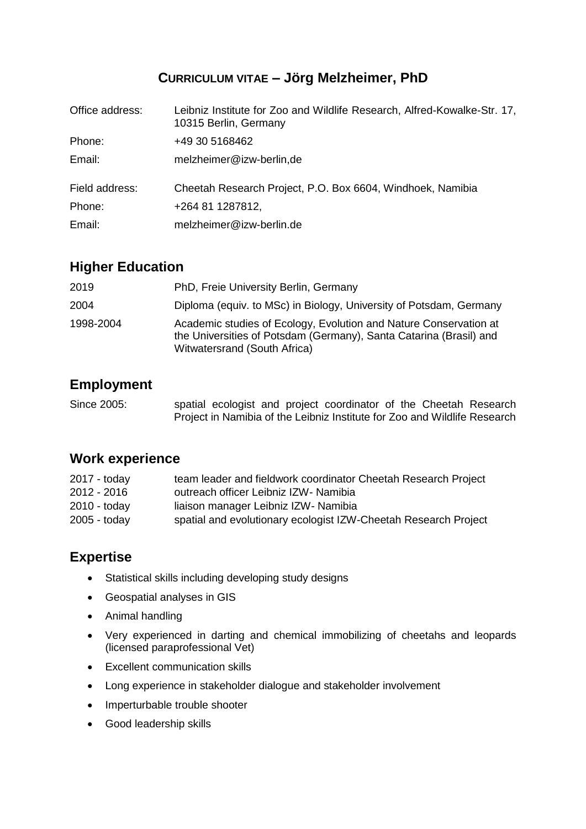### **CURRICULUM VITAE – Jörg Melzheimer, PhD**

| Office address: | Leibniz Institute for Zoo and Wildlife Research, Alfred-Kowalke-Str. 17,<br>10315 Berlin, Germany |
|-----------------|---------------------------------------------------------------------------------------------------|
| Phone:          | +49 30 5168462                                                                                    |
| Email:          | melzheimer@izw-berlin,de                                                                          |
| Field address:  | Cheetah Research Project, P.O. Box 6604, Windhoek, Namibia                                        |
| Phone:          | +264 81 1287812,                                                                                  |
| Email:          | melzheimer@izw-berlin.de                                                                          |

### **Higher Education**

| 2019      | PhD, Freie University Berlin, Germany                                                                                                                                   |
|-----------|-------------------------------------------------------------------------------------------------------------------------------------------------------------------------|
| 2004      | Diploma (equiv. to MSc) in Biology, University of Potsdam, Germany                                                                                                      |
| 1998-2004 | Academic studies of Ecology, Evolution and Nature Conservation at<br>the Universities of Potsdam (Germany), Santa Catarina (Brasil) and<br>Witwatersrand (South Africa) |

## **Employment**

Since 2005: spatial ecologist and project coordinator of the Cheetah Research Project in Namibia of the Leibniz Institute for Zoo and Wildlife Research

### **Work experience**

| team leader and fieldwork coordinator Cheetah Research Project  |
|-----------------------------------------------------------------|
| outreach officer Leibniz IZW- Namibia                           |
| liaison manager Leibniz IZW- Namibia                            |
| spatial and evolutionary ecologist IZW-Cheetah Research Project |
|                                                                 |

# **Expertise**

- Statistical skills including developing study designs
- Geospatial analyses in GIS
- Animal handling
- Very experienced in darting and chemical immobilizing of cheetahs and leopards (licensed paraprofessional Vet)
- Excellent communication skills
- Long experience in stakeholder dialogue and stakeholder involvement
- Imperturbable trouble shooter
- Good leadership skills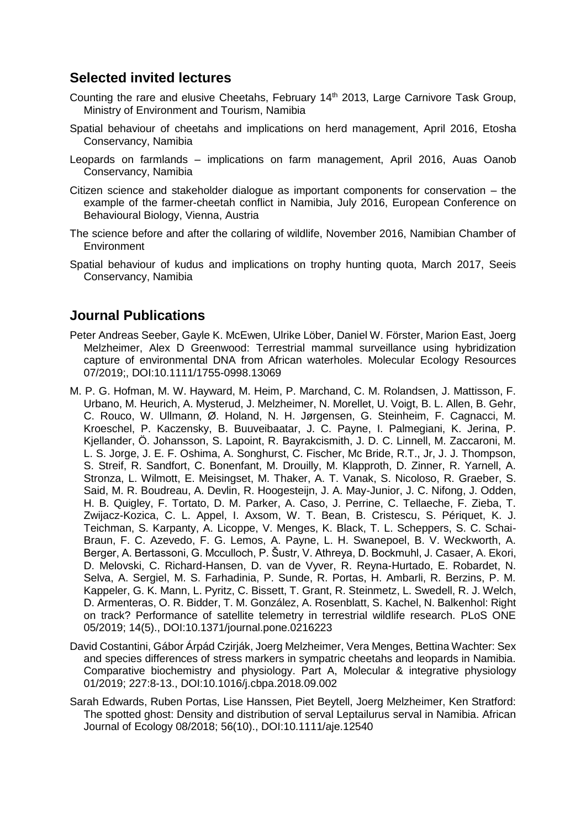### **Selected invited lectures**

- Counting the rare and elusive Cheetahs, February 14<sup>th</sup> 2013, Large Carnivore Task Group, Ministry of Environment and Tourism, Namibia
- Spatial behaviour of cheetahs and implications on herd management, April 2016, Etosha Conservancy, Namibia
- Leopards on farmlands implications on farm management, April 2016, Auas Oanob Conservancy, Namibia
- Citizen science and stakeholder dialogue as important components for conservation the example of the farmer-cheetah conflict in Namibia, July 2016, European Conference on Behavioural Biology, Vienna, Austria
- The science before and after the collaring of wildlife, November 2016, Namibian Chamber of **Environment**
- Spatial behaviour of kudus and implications on trophy hunting quota, March 2017, Seeis Conservancy, Namibia

### **Journal Publications**

- Peter Andreas Seeber, Gayle K. McEwen, Ulrike Löber, Daniel W. Förster, Marion East, Joerg Melzheimer, Alex D Greenwood: Terrestrial mammal surveillance using hybridization capture of environmental DNA from African waterholes. Molecular Ecology Resources 07/2019;, DOI:10.1111/1755-0998.13069
- M. P. G. Hofman, M. W. Hayward, M. Heim, P. Marchand, C. M. Rolandsen, J. Mattisson, F. Urbano, M. Heurich, A. Mysterud, J. Melzheimer, N. Morellet, U. Voigt, B. L. Allen, B. Gehr, C. Rouco, W. Ullmann, Ø. Holand, N. H. Jørgensen, G. Steinheim, F. Cagnacci, M. Kroeschel, P. Kaczensky, B. Buuveibaatar, J. C. Payne, I. Palmegiani, K. Jerina, P. Kjellander, Ö. Johansson, S. Lapoint, R. Bayrakcismith, J. D. C. Linnell, M. Zaccaroni, M. L. S. Jorge, J. E. F. Oshima, A. Songhurst, C. Fischer, Mc Bride, R.T., Jr, J. J. Thompson, S. Streif, R. Sandfort, C. Bonenfant, M. Drouilly, M. Klapproth, D. Zinner, R. Yarnell, A. Stronza, L. Wilmott, E. Meisingset, M. Thaker, A. T. Vanak, S. Nicoloso, R. Graeber, S. Said, M. R. Boudreau, A. Devlin, R. Hoogesteijn, J. A. May-Junior, J. C. Nifong, J. Odden, H. B. Quigley, F. Tortato, D. M. Parker, A. Caso, J. Perrine, C. Tellaeche, F. Zieba, T. Zwijacz-Kozica, C. L. Appel, I. Axsom, W. T. Bean, B. Cristescu, S. Périquet, K. J. Teichman, S. Karpanty, A. Licoppe, V. Menges, K. Black, T. L. Scheppers, S. C. Schai-Braun, F. C. Azevedo, F. G. Lemos, A. Payne, L. H. Swanepoel, B. V. Weckworth, A. Berger, A. Bertassoni, G. Mcculloch, P. Šustr, V. Athreya, D. Bockmuhl, J. Casaer, A. Ekori, D. Melovski, C. Richard-Hansen, D. van de Vyver, R. Reyna-Hurtado, E. Robardet, N. Selva, A. Sergiel, M. S. Farhadinia, P. Sunde, R. Portas, H. Ambarli, R. Berzins, P. M. Kappeler, G. K. Mann, L. Pyritz, C. Bissett, T. Grant, R. Steinmetz, L. Swedell, R. J. Welch, D. Armenteras, O. R. Bidder, T. M. González, A. Rosenblatt, S. Kachel, N. Balkenhol: Right on track? Performance of satellite telemetry in terrestrial wildlife research. PLoS ONE 05/2019; 14(5)., DOI:10.1371/journal.pone.0216223
- David Costantini, Gábor Árpád Czirják, Joerg Melzheimer, Vera Menges, Bettina Wachter: Sex and species differences of stress markers in sympatric cheetahs and leopards in Namibia. Comparative biochemistry and physiology. Part A, Molecular & integrative physiology 01/2019; 227:8-13., DOI:10.1016/j.cbpa.2018.09.002
- Sarah Edwards, Ruben Portas, Lise Hanssen, Piet Beytell, Joerg Melzheimer, Ken Stratford: The spotted ghost: Density and distribution of serval Leptailurus serval in Namibia. African Journal of Ecology 08/2018; 56(10)., DOI:10.1111/aje.12540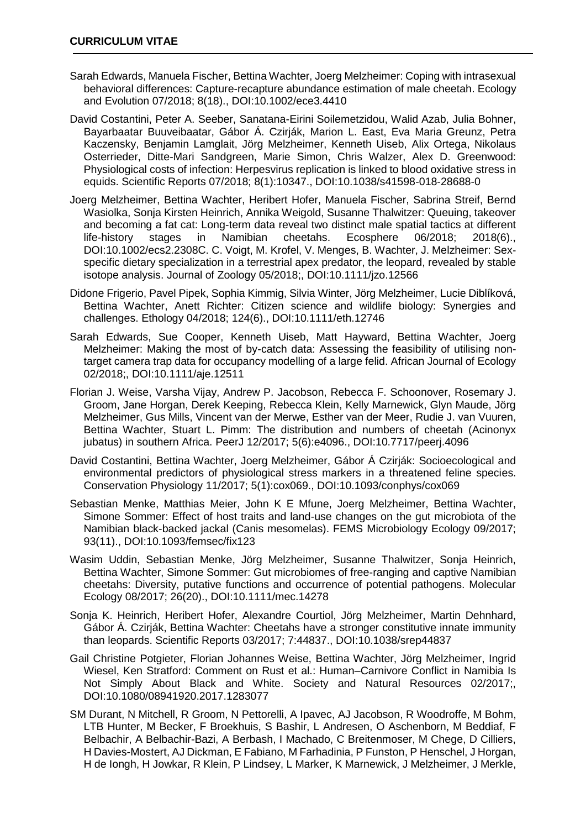- Sarah Edwards, Manuela Fischer, Bettina Wachter, Joerg Melzheimer: Coping with intrasexual behavioral differences: Capture-recapture abundance estimation of male cheetah. Ecology and Evolution 07/2018; 8(18)., DOI:10.1002/ece3.4410
- David Costantini, Peter A. Seeber, Sanatana-Eirini Soilemetzidou, Walid Azab, Julia Bohner, Bayarbaatar Buuveibaatar, Gábor Á. Czirják, Marion L. East, Eva Maria Greunz, Petra Kaczensky, Benjamin Lamglait, Jörg Melzheimer, Kenneth Uiseb, Alix Ortega, Nikolaus Osterrieder, Ditte-Mari Sandgreen, Marie Simon, Chris Walzer, Alex D. Greenwood: Physiological costs of infection: Herpesvirus replication is linked to blood oxidative stress in equids. Scientific Reports 07/2018; 8(1):10347., DOI:10.1038/s41598-018-28688-0
- Joerg Melzheimer, Bettina Wachter, Heribert Hofer, Manuela Fischer, Sabrina Streif, Bernd Wasiolka, Sonja Kirsten Heinrich, Annika Weigold, Susanne Thalwitzer: Queuing, takeover and becoming a fat cat: Long-term data reveal two distinct male spatial tactics at different life-history stages in Namibian cheetahs. Ecosphere 06/2018; 2018(6)., DOI:10.1002/ecs2.2308C. C. Voigt, M. Krofel, V. Menges, B. Wachter, J. Melzheimer: Sex‐ specific dietary specialization in a terrestrial apex predator, the leopard, revealed by stable isotope analysis. Journal of Zoology 05/2018;, DOI:10.1111/jzo.12566
- Didone Frigerio, Pavel Pipek, Sophia Kimmig, Silvia Winter, Jörg Melzheimer, Lucie Diblíková, Bettina Wachter, Anett Richter: Citizen science and wildlife biology: Synergies and challenges. Ethology 04/2018; 124(6)., DOI:10.1111/eth.12746
- Sarah Edwards, Sue Cooper, Kenneth Uiseb, Matt Hayward, Bettina Wachter, Joerg Melzheimer: Making the most of by-catch data: Assessing the feasibility of utilising nontarget camera trap data for occupancy modelling of a large felid. African Journal of Ecology 02/2018;, DOI:10.1111/aje.12511
- Florian J. Weise, Varsha Vijay, Andrew P. Jacobson, Rebecca F. Schoonover, Rosemary J. Groom, Jane Horgan, Derek Keeping, Rebecca Klein, Kelly Marnewick, Glyn Maude, Jörg Melzheimer, Gus Mills, Vincent van der Merwe, Esther van der Meer, Rudie J. van Vuuren, Bettina Wachter, Stuart L. Pimm: The distribution and numbers of cheetah (Acinonyx jubatus) in southern Africa. PeerJ 12/2017; 5(6):e4096., DOI:10.7717/peerj.4096
- David Costantini, Bettina Wachter, Joerg Melzheimer, Gábor Á Czirják: Socioecological and environmental predictors of physiological stress markers in a threatened feline species. Conservation Physiology 11/2017; 5(1):cox069., DOI:10.1093/conphys/cox069
- Sebastian Menke, Matthias Meier, John K E Mfune, Joerg Melzheimer, Bettina Wachter, Simone Sommer: Effect of host traits and land-use changes on the gut microbiota of the Namibian black-backed jackal (Canis mesomelas). FEMS Microbiology Ecology 09/2017; 93(11)., DOI:10.1093/femsec/fix123
- Wasim Uddin, Sebastian Menke, Jörg Melzheimer, Susanne Thalwitzer, Sonja Heinrich, Bettina Wachter, Simone Sommer: Gut microbiomes of free-ranging and captive Namibian cheetahs: Diversity, putative functions and occurrence of potential pathogens. Molecular Ecology 08/2017; 26(20)., DOI:10.1111/mec.14278
- Sonja K. Heinrich, Heribert Hofer, Alexandre Courtiol, Jörg Melzheimer, Martin Dehnhard, Gábor Á. Czirják, Bettina Wachter: Cheetahs have a stronger constitutive innate immunity than leopards. Scientific Reports 03/2017; 7:44837., DOI:10.1038/srep44837
- Gail Christine Potgieter, Florian Johannes Weise, Bettina Wachter, Jörg Melzheimer, Ingrid Wiesel, Ken Stratford: Comment on Rust et al.: Human–Carnivore Conflict in Namibia Is Not Simply About Black and White. Society and Natural Resources 02/2017;, DOI:10.1080/08941920.2017.1283077
- SM Durant, N Mitchell, R Groom, N Pettorelli, A Ipavec, AJ Jacobson, R Woodroffe, M Bohm, LTB Hunter, M Becker, F Broekhuis, S Bashir, L Andresen, O Aschenborn, M Beddiaf, F Belbachir, A Belbachir-Bazi, A Berbash, I Machado, C Breitenmoser, M Chege, D Cilliers, H Davies-Mostert, AJ Dickman, E Fabiano, M Farhadinia, P Funston, P Henschel, J Horgan, H de Iongh, H Jowkar, R Klein, P Lindsey, L Marker, K Marnewick, J Melzheimer, J Merkle,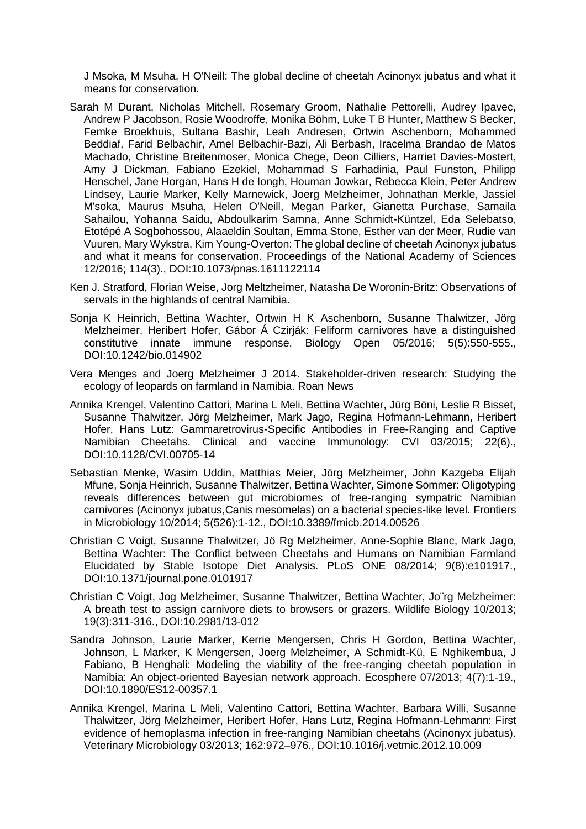J Msoka, M Msuha, H O'Neill: The global decline of cheetah Acinonyx jubatus and what it means for conservation.

- Sarah M Durant, Nicholas Mitchell, Rosemary Groom, Nathalie Pettorelli, Audrey Ipavec, Andrew P Jacobson, Rosie Woodroffe, Monika Böhm, Luke T B Hunter, Matthew S Becker, Femke Broekhuis, Sultana Bashir, Leah Andresen, Ortwin Aschenborn, Mohammed Beddiaf, Farid Belbachir, Amel Belbachir-Bazi, Ali Berbash, Iracelma Brandao de Matos Machado, Christine Breitenmoser, Monica Chege, Deon Cilliers, Harriet Davies-Mostert, Amy J Dickman, Fabiano Ezekiel, Mohammad S Farhadinia, Paul Funston, Philipp Henschel, Jane Horgan, Hans H de Iongh, Houman Jowkar, Rebecca Klein, Peter Andrew Lindsey, Laurie Marker, Kelly Marnewick, Joerg Melzheimer, Johnathan Merkle, Jassiel M'soka, Maurus Msuha, Helen O'Neill, Megan Parker, Gianetta Purchase, Samaila Sahailou, Yohanna Saidu, Abdoulkarim Samna, Anne Schmidt-Küntzel, Eda Selebatso, Etotépé A Sogbohossou, Alaaeldin Soultan, Emma Stone, Esther van der Meer, Rudie van Vuuren, Mary Wykstra, Kim Young-Overton: The global decline of cheetah Acinonyx jubatus and what it means for conservation. Proceedings of the National Academy of Sciences 12/2016; 114(3)., DOI:10.1073/pnas.1611122114
- Ken J. Stratford, Florian Weise, Jorg Meltzheimer, Natasha De Woronin-Britz: Observations of servals in the highlands of central Namibia.
- Sonja K Heinrich, Bettina Wachter, Ortwin H K Aschenborn, Susanne Thalwitzer, Jörg Melzheimer, Heribert Hofer, Gábor Á Czirják: Feliform carnivores have a distinguished constitutive innate immune response. Biology Open 05/2016; 5(5):550-555., DOI:10.1242/bio.014902
- Vera Menges and Joerg Melzheimer J 2014. Stakeholder-driven research: Studying the ecology of leopards on farmland in Namibia. Roan News
- Annika Krengel, Valentino Cattori, Marina L Meli, Bettina Wachter, Jürg Böni, Leslie R Bisset, Susanne Thalwitzer, Jörg Melzheimer, Mark Jago, Regina Hofmann-Lehmann, Heribert Hofer, Hans Lutz: Gammaretrovirus-Specific Antibodies in Free-Ranging and Captive Namibian Cheetahs. Clinical and vaccine Immunology: CVI 03/2015; 22(6)., DOI:10.1128/CVI.00705-14
- Sebastian Menke, Wasim Uddin, Matthias Meier, Jörg Melzheimer, John Kazgeba Elijah Mfune, Sonja Heinrich, Susanne Thalwitzer, Bettina Wachter, Simone Sommer: Oligotyping reveals differences between gut microbiomes of free-ranging sympatric Namibian carnivores (Acinonyx jubatus,Canis mesomelas) on a bacterial species-like level. Frontiers in Microbiology 10/2014; 5(526):1-12., DOI:10.3389/fmicb.2014.00526
- Christian C Voigt, Susanne Thalwitzer, Jö Rg Melzheimer, Anne-Sophie Blanc, Mark Jago, Bettina Wachter: The Conflict between Cheetahs and Humans on Namibian Farmland Elucidated by Stable Isotope Diet Analysis. PLoS ONE 08/2014; 9(8):e101917., DOI:10.1371/journal.pone.0101917
- Christian C Voigt, Jog Melzheimer, Susanne Thalwitzer, Bettina Wachter, Jo¨rg Melzheimer: A breath test to assign carnivore diets to browsers or grazers. Wildlife Biology 10/2013; 19(3):311-316., DOI:10.2981/13-012
- Sandra Johnson, Laurie Marker, Kerrie Mengersen, Chris H Gordon, Bettina Wachter, Johnson, L Marker, K Mengersen, Joerg Melzheimer, A Schmidt-Kü, E Nghikembua, J Fabiano, B Henghali: Modeling the viability of the free-ranging cheetah population in Namibia: An object-oriented Bayesian network approach. Ecosphere 07/2013; 4(7):1-19., DOI:10.1890/ES12-00357.1
- Annika Krengel, Marina L Meli, Valentino Cattori, Bettina Wachter, Barbara Willi, Susanne Thalwitzer, Jörg Melzheimer, Heribert Hofer, Hans Lutz, Regina Hofmann-Lehmann: First evidence of hemoplasma infection in free-ranging Namibian cheetahs (Acinonyx jubatus). Veterinary Microbiology 03/2013; 162:972–976., DOI:10.1016/j.vetmic.2012.10.009